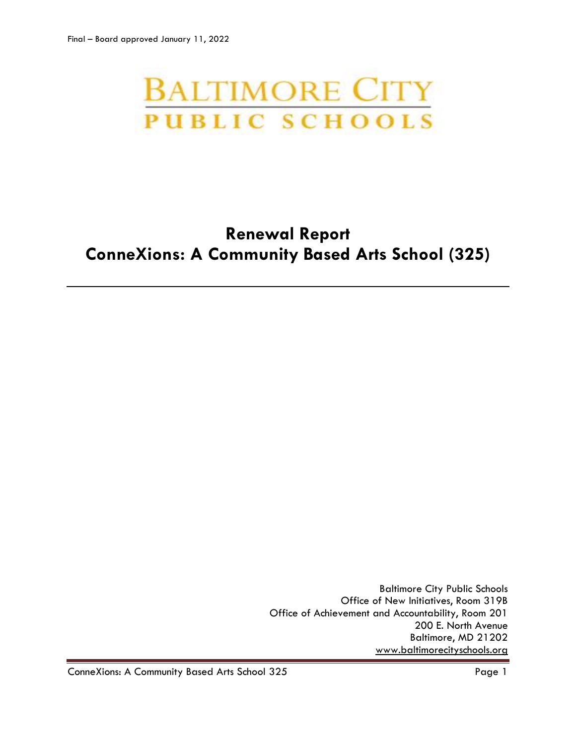# **BALTIMORE CITY PUBLIC SCHOOLS**

# **Renewal Report ConneXions: A Community Based Arts School (325)**

Baltimore City Public Schools Office of New Initiatives, Room 319B Office of Achievement and Accountability, Room 201 200 E. North Avenue Baltimore, MD 21202 [www.baltimorecityschools.org](http://www.baltimorecityschools.org/)

ConneXions: A Community Based Arts School 325 Page 1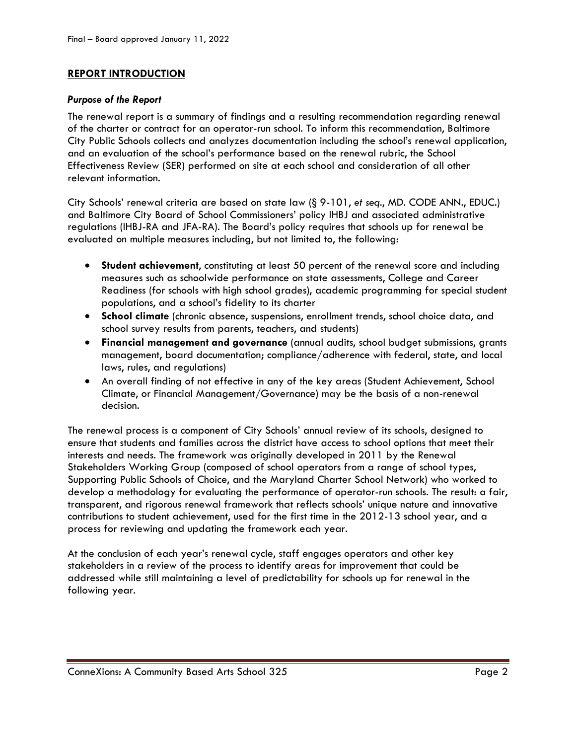# **REPORT INTRODUCTION**

#### *Purpose of the Report*

The renewal report is a summary of findings and a resulting recommendation regarding renewal of the charter or contract for an operator-run school. To inform this recommendation, Baltimore City Public Schools collects and analyzes documentation including the school's renewal application, and an evaluation of the school's performance based on the renewal rubric, the School Effectiveness Review (SER) performed on site at each school and consideration of all other relevant information.

City Schools' renewal criteria are based on state law (§ 9-101, *et seq*., MD. CODE ANN., EDUC.) and Baltimore City Board of School Commissioners' policy IHBJ and associated administrative regulations (IHBJ-RA and JFA-RA). The Board's policy requires that schools up for renewal be evaluated on multiple measures including, but not limited to, the following:

- **Student achievement**, constituting at least 50 percent of the renewal score and including measures such as schoolwide performance on state assessments, College and Career Readiness (for schools with high school grades), academic programming for special student populations, and a school's fidelity to its charter
- **School climate** (chronic absence, suspensions, enrollment trends, school choice data, and school survey results from parents, teachers, and students)
- **Financial management and governance** (annual audits, school budget submissions, grants management, board documentation; compliance/adherence with federal, state, and local laws, rules, and regulations)
- An overall finding of not effective in any of the key areas (Student Achievement, School Climate, or Financial Management/Governance) may be the basis of a non-renewal decision.

The renewal process is a component of City Schools' annual review of its schools, designed to ensure that students and families across the district have access to school options that meet their interests and needs. The framework was originally developed in 2011 by the Renewal Stakeholders Working Group (composed of school operators from a range of school types, Supporting Public Schools of Choice, and the Maryland Charter School Network) who worked to develop a methodology for evaluating the performance of operator-run schools. The result: a fair, transparent, and rigorous renewal framework that reflects schools' unique nature and innovative contributions to student achievement, used for the first time in the 2012-13 school year, and a process for reviewing and updating the framework each year.

At the conclusion of each year's renewal cycle, staff engages operators and other key stakeholders in a review of the process to identify areas for improvement that could be addressed while still maintaining a level of predictability for schools up for renewal in the following year.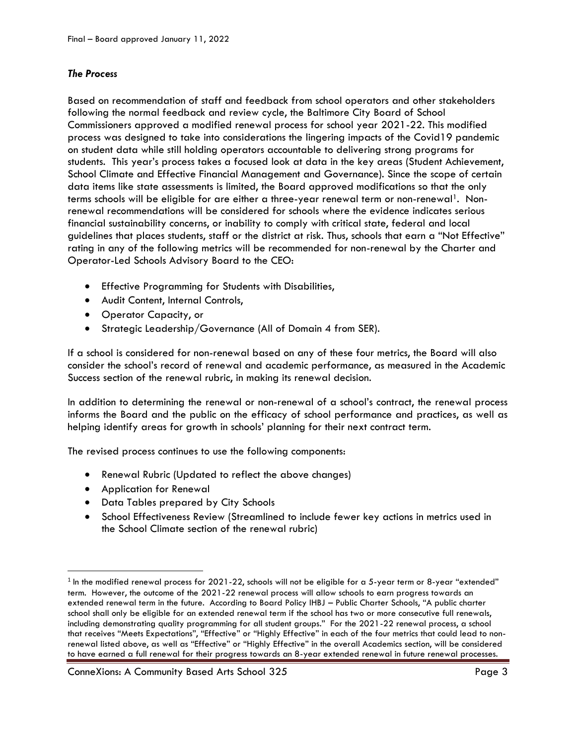# *The Process*

Based on recommendation of staff and feedback from school operators and other stakeholders following the normal feedback and review cycle, the Baltimore City Board of School Commissioners approved a modified renewal process for school year 2021-22. This modified process was designed to take into considerations the lingering impacts of the Covid19 pandemic on student data while still holding operators accountable to delivering strong programs for students. This year's process takes a focused look at data in the key areas (Student Achievement, School Climate and Effective Financial Management and Governance). Since the scope of certain data items like state assessments is limited, the Board approved modifications so that the only terms schools will be eligible for are either a three-year renewal term or non-renewal<sup>1</sup>. Nonrenewal recommendations will be considered for schools where the evidence indicates serious financial sustainability concerns, or inability to comply with critical state, federal and local guidelines that places students, staff or the district at risk. Thus, schools that earn a "Not Effective" rating in any of the following metrics will be recommended for non-renewal by the Charter and Operator-Led Schools Advisory Board to the CEO:

- Effective Programming for Students with Disabilities,
- Audit Content, Internal Controls,
- Operator Capacity, or
- Strategic Leadership/Governance (All of Domain 4 from SER).

If a school is considered for non-renewal based on any of these four metrics, the Board will also consider the school's record of renewal and academic performance, as measured in the Academic Success section of the renewal rubric, in making its renewal decision.

In addition to determining the renewal or non-renewal of a school's contract, the renewal process informs the Board and the public on the efficacy of school performance and practices, as well as helping identify areas for growth in schools' planning for their next contract term.

The revised process continues to use the following components:

- Renewal Rubric (Updated to reflect the above changes)
- Application for Renewal

l

- Data Tables prepared by City Schools
- School Effectiveness Review (Streamlined to include fewer key actions in metrics used in the School Climate section of the renewal rubric)

 $^{\rm 1}$  In the modified renewal process for 2021-22, schools will not be eligible for a 5-year term or 8-year "extended" term. However, the outcome of the 2021-22 renewal process will allow schools to earn progress towards an extended renewal term in the future. According to Board Policy IHBJ – Public Charter Schools, "A public charter school shall only be eligible for an extended renewal term if the school has two or more consecutive full renewals, including demonstrating quality programming for all student groups." For the 2021-22 renewal process, a school that receives "Meets Expectations", "Effective" or "Highly Effective" in each of the four metrics that could lead to nonrenewal listed above, as well as "Effective" or "Highly Effective" in the overall Academics section, will be considered to have earned a full renewal for their progress towards an 8-year extended renewal in future renewal processes.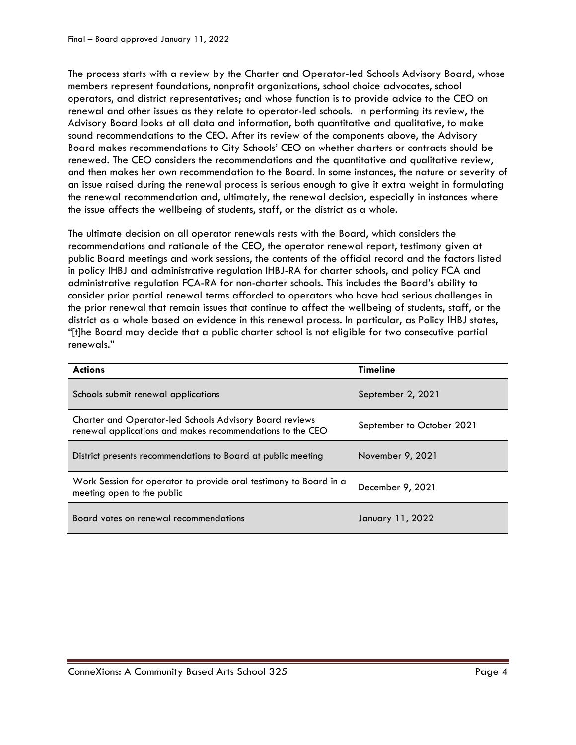The process starts with a review by the Charter and Operator-led Schools Advisory Board, whose members represent foundations, nonprofit organizations, school choice advocates, school operators, and district representatives; and whose function is to provide advice to the CEO on renewal and other issues as they relate to operator-led schools. In performing its review, the Advisory Board looks at all data and information, both quantitative and qualitative, to make sound recommendations to the CEO. After its review of the components above, the Advisory Board makes recommendations to City Schools' CEO on whether charters or contracts should be renewed. The CEO considers the recommendations and the quantitative and qualitative review, and then makes her own recommendation to the Board. In some instances, the nature or severity of an issue raised during the renewal process is serious enough to give it extra weight in formulating the renewal recommendation and, ultimately, the renewal decision, especially in instances where the issue affects the wellbeing of students, staff, or the district as a whole.

The ultimate decision on all operator renewals rests with the Board, which considers the recommendations and rationale of the CEO, the operator renewal report, testimony given at public Board meetings and work sessions, the contents of the official record and the factors listed in policy IHBJ and administrative regulation IHBJ-RA for charter schools, and policy FCA and administrative regulation FCA-RA for non-charter schools. This includes the Board's ability to consider prior partial renewal terms afforded to operators who have had serious challenges in the prior renewal that remain issues that continue to affect the wellbeing of students, staff, or the district as a whole based on evidence in this renewal process. In particular, as Policy IHBJ states, "[t]he Board may decide that a public charter school is not eligible for two consecutive partial renewals."

| <b>Actions</b>                                                                                                              | <b>Timeline</b>           |
|-----------------------------------------------------------------------------------------------------------------------------|---------------------------|
| Schools submit renewal applications                                                                                         | September 2, 2021         |
| <b>Charter and Operator-led Schools Advisory Board reviews</b><br>renewal applications and makes recommendations to the CEO | September to October 2021 |
| District presents recommendations to Board at public meeting                                                                | November 9, 2021          |
| Work Session for operator to provide oral testimony to Board in a<br>meeting open to the public                             | December 9, 2021          |
| Board votes on renewal recommendations                                                                                      | January 11, 2022          |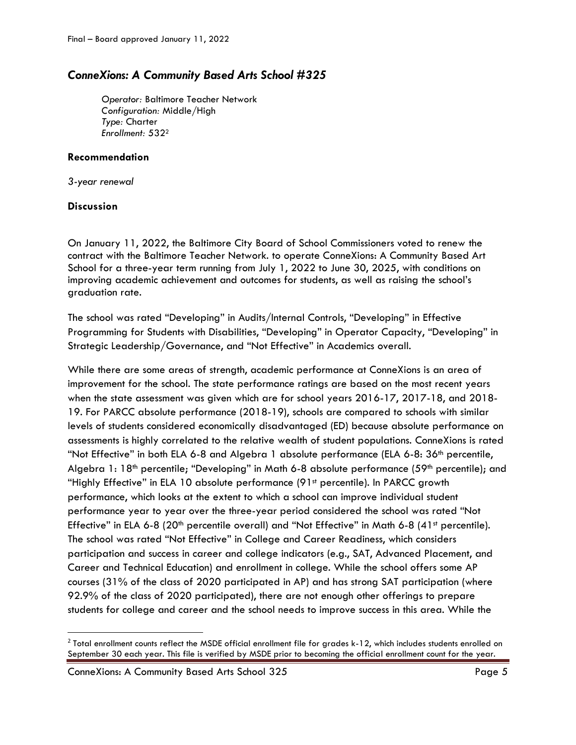# *ConneXions: A Community Based Arts School #325*

*Operator:* Baltimore Teacher Network *Configuration:* Middle/High *Type:* Charter *Enrollment:* 532<sup>2</sup>

# **Recommendation**

*3-year renewal*

# **Discussion**

 $\overline{\phantom{a}}$ 

On January 11, 2022, the Baltimore City Board of School Commissioners voted to renew the contract with the Baltimore Teacher Network. to operate ConneXions: A Community Based Art School for a three-year term running from July 1, 2022 to June 30, 2025, with conditions on improving academic achievement and outcomes for students, as well as raising the school's graduation rate.

The school was rated "Developing" in Audits/Internal Controls, "Developing" in Effective Programming for Students with Disabilities, "Developing" in Operator Capacity, "Developing" in Strategic Leadership/Governance, and "Not Effective" in Academics overall.

While there are some areas of strength, academic performance at ConneXions is an area of improvement for the school. The state performance ratings are based on the most recent years when the state assessment was given which are for school years 2016-17, 2017-18, and 2018- 19. For PARCC absolute performance (2018-19), schools are compared to schools with similar levels of students considered economically disadvantaged (ED) because absolute performance on assessments is highly correlated to the relative wealth of student populations. ConneXions is rated "Not Effective" in both ELA 6-8 and Algebra 1 absolute performance (ELA 6-8: 36<sup>th</sup> percentile, Algebra 1: 18<sup>th</sup> percentile; "Developing" in Math 6-8 absolute performance (59<sup>th</sup> percentile); and "Highly Effective" in ELA 10 absolute performance (91<sup>st</sup> percentile). In PARCC growth performance, which looks at the extent to which a school can improve individual student performance year to year over the three-year period considered the school was rated "Not Effective" in ELA 6-8 (20<sup>th</sup> percentile overall) and "Not Effective" in Math 6-8 (41<sup>st</sup> percentile). The school was rated "Not Effective" in College and Career Readiness, which considers participation and success in career and college indicators (e.g., SAT, Advanced Placement, and Career and Technical Education) and enrollment in college. While the school offers some AP courses (31% of the class of 2020 participated in AP) and has strong SAT participation (where 92.9% of the class of 2020 participated), there are not enough other offerings to prepare students for college and career and the school needs to improve success in this area. While the

 $^2$  Total enrollment counts reflect the MSDE official enrollment file for grades k-12, which includes students enrolled on September 30 each year. This file is verified by MSDE prior to becoming the official enrollment count for the year.

ConneXions: A Community Based Arts School 325 **Page 5** Page 5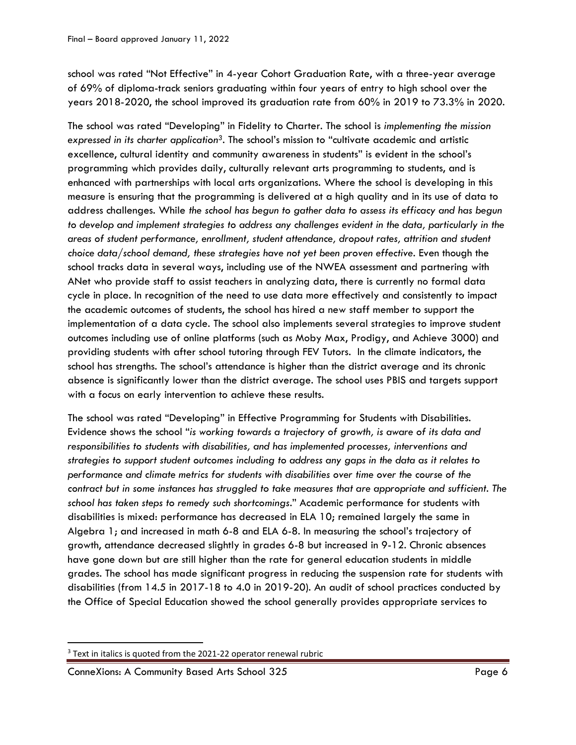school was rated "Not Effective" in 4-year Cohort Graduation Rate, with a three-year average of 69% of diploma-track seniors graduating within four years of entry to high school over the years 2018-2020, the school improved its graduation rate from 60% in 2019 to 73.3% in 2020.

The school was rated "Developing" in Fidelity to Charter. The school is *implementing the mission expressed in its charter application3.* The school's mission to "cultivate academic and artistic excellence, cultural identity and community awareness in students" is evident in the school's programming which provides daily, culturally relevant arts programming to students, and is enhanced with partnerships with local arts organizations. Where the school is developing in this measure is ensuring that the programming is delivered at a high quality and in its use of data to address challenges. While *the school has begun to gather data to assess its efficacy and has begun to develop and implement strategies to address any challenges evident in the data, particularly in the areas of student performance, enrollment, student attendance, dropout rates, attrition and student choice data/school demand, these strategies have not yet been proven effective*. Even though the school tracks data in several ways, including use of the NWEA assessment and partnering with ANet who provide staff to assist teachers in analyzing data, there is currently no formal data cycle in place. In recognition of the need to use data more effectively and consistently to impact the academic outcomes of students, the school has hired a new staff member to support the implementation of a data cycle. The school also implements several strategies to improve student outcomes including use of online platforms (such as Moby Max, Prodigy, and Achieve 3000) and providing students with after school tutoring through FEV Tutors. In the climate indicators, the school has strengths. The school's attendance is higher than the district average and its chronic absence is significantly lower than the district average. The school uses PBIS and targets support with a focus on early intervention to achieve these results.

The school was rated "Developing" in Effective Programming for Students with Disabilities. Evidence shows the school "*is working towards a trajectory of growth, is aware of its data and responsibilities to students with disabilities, and has implemented processes, interventions and strategies to support student outcomes including to address any gaps in the data as it relates to performance and climate metrics for students with disabilities over time over the course of the contract but in some instances has struggled to take measures that are appropriate and sufficient. The school has taken steps to remedy such shortcomings*." Academic performance for students with disabilities is mixed: performance has decreased in ELA 10; remained largely the same in Algebra 1; and increased in math 6-8 and ELA 6-8. In measuring the school's trajectory of growth, attendance decreased slightly in grades 6-8 but increased in 9-12. Chronic absences have gone down but are still higher than the rate for general education students in middle grades. The school has made significant progress in reducing the suspension rate for students with disabilities (from 14.5 in 2017-18 to 4.0 in 2019-20). An audit of school practices conducted by the Office of Special Education showed the school generally provides appropriate services to

 $\overline{\phantom{a}}$ 

 $3$  Text in italics is quoted from the 2021-22 operator renewal rubric

ConneXions: A Community Based Arts School 325 Page 6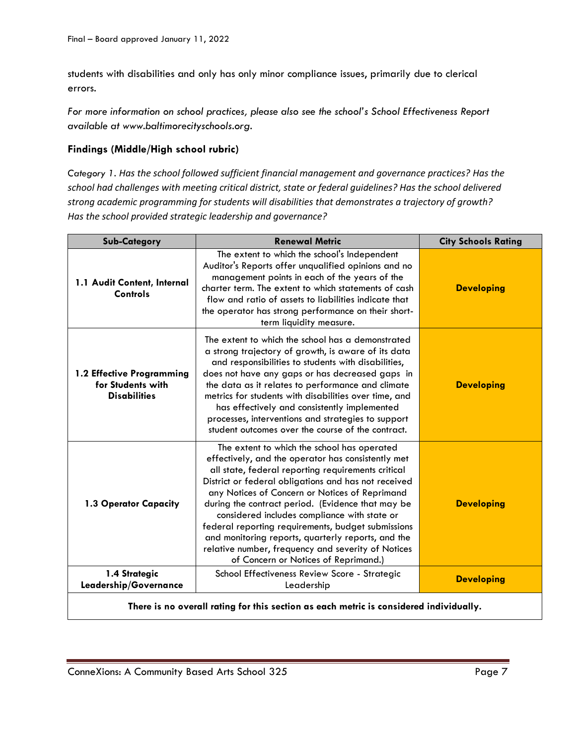students with disabilities and only has only minor compliance issues, primarily due to clerical errors.

*For more information on school practices, please also see the school's School Effectiveness Report available at www.baltimorecityschools.org.*

# **Findings (Middle/High school rubric)**

*Category 1. Has the school followed sufficient financial management and governance practices? Has the school had challenges with meeting critical district, state or federal guidelines? Has the school delivered strong academic programming for students will disabilities that demonstrates a trajectory of growth? Has the school provided strategic leadership and governance?*

| <b>Sub-Category</b>                                                                    | <b>Renewal Metric</b>                                                                                                                                                                                                                                                                                                                                                                                                                                                                                                                                                            | <b>City Schools Rating</b> |
|----------------------------------------------------------------------------------------|----------------------------------------------------------------------------------------------------------------------------------------------------------------------------------------------------------------------------------------------------------------------------------------------------------------------------------------------------------------------------------------------------------------------------------------------------------------------------------------------------------------------------------------------------------------------------------|----------------------------|
| 1.1 Audit Content, Internal<br><b>Controls</b>                                         | The extent to which the school's Independent<br>Auditor's Reports offer unqualified opinions and no<br>management points in each of the years of the<br>charter term. The extent to which statements of cash<br>flow and ratio of assets to liabilities indicate that<br>the operator has strong performance on their short-<br>term liquidity measure.                                                                                                                                                                                                                          | <b>Developing</b>          |
| 1.2 Effective Programming<br>for Students with<br><b>Disabilities</b>                  | The extent to which the school has a demonstrated<br>a strong trajectory of growth, is aware of its data<br>and responsibilities to students with disabilities,<br>does not have any gaps or has decreased gaps in<br>the data as it relates to performance and climate<br>metrics for students with disabilities over time, and<br>has effectively and consistently implemented<br>processes, interventions and strategies to support<br>student outcomes over the course of the contract.                                                                                      | <b>Developing</b>          |
| 1.3 Operator Capacity                                                                  | The extent to which the school has operated<br>effectively, and the operator has consistently met<br>all state, federal reporting requirements critical<br>District or federal obligations and has not received<br>any Notices of Concern or Notices of Reprimand<br>during the contract period. (Evidence that may be<br>considered includes compliance with state or<br>federal reporting requirements, budget submissions<br>and monitoring reports, quarterly reports, and the<br>relative number, frequency and severity of Notices<br>of Concern or Notices of Reprimand.) | <b>Developing</b>          |
| 1.4 Strategic<br>Leadership/Governance                                                 | School Effectiveness Review Score - Strategic<br>Leadership                                                                                                                                                                                                                                                                                                                                                                                                                                                                                                                      | <b>Developing</b>          |
| There is no overall rating for this section as each metric is considered individually. |                                                                                                                                                                                                                                                                                                                                                                                                                                                                                                                                                                                  |                            |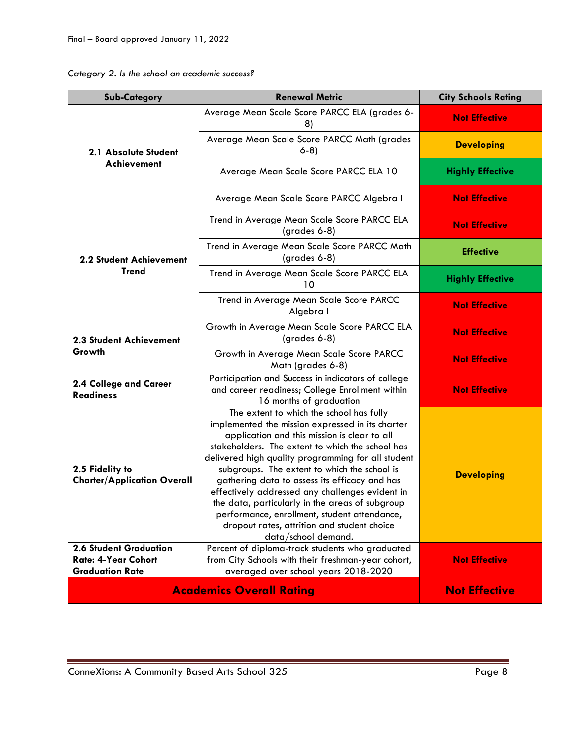| Category 2. Is the school an academic success? |  |  |  |  |  |
|------------------------------------------------|--|--|--|--|--|
|------------------------------------------------|--|--|--|--|--|

| <b>Sub-Category</b>                                                                    | <b>Renewal Metric</b>                                                                                                                                                                                                                                                                                                                                                                                                                                                                                                                                                                  | <b>City Schools Rating</b> |
|----------------------------------------------------------------------------------------|----------------------------------------------------------------------------------------------------------------------------------------------------------------------------------------------------------------------------------------------------------------------------------------------------------------------------------------------------------------------------------------------------------------------------------------------------------------------------------------------------------------------------------------------------------------------------------------|----------------------------|
| 2.1 Absolute Student<br>Achievement                                                    | Average Mean Scale Score PARCC ELA (grades 6-<br>8)                                                                                                                                                                                                                                                                                                                                                                                                                                                                                                                                    | <b>Not Effective</b>       |
|                                                                                        | Average Mean Scale Score PARCC Math (grades<br>$6-8)$                                                                                                                                                                                                                                                                                                                                                                                                                                                                                                                                  | <b>Developing</b>          |
|                                                                                        | Average Mean Scale Score PARCC ELA 10                                                                                                                                                                                                                                                                                                                                                                                                                                                                                                                                                  | <b>Highly Effective</b>    |
|                                                                                        | Average Mean Scale Score PARCC Algebra I                                                                                                                                                                                                                                                                                                                                                                                                                                                                                                                                               | <b>Not Effective</b>       |
|                                                                                        | Trend in Average Mean Scale Score PARCC ELA<br>$(grades 6-8)$                                                                                                                                                                                                                                                                                                                                                                                                                                                                                                                          | <b>Not Effective</b>       |
| 2.2 Student Achievement                                                                | Trend in Average Mean Scale Score PARCC Math<br>(grades 6-8)                                                                                                                                                                                                                                                                                                                                                                                                                                                                                                                           | <b>Effective</b>           |
| <b>Trend</b>                                                                           | Trend in Average Mean Scale Score PARCC ELA<br>10                                                                                                                                                                                                                                                                                                                                                                                                                                                                                                                                      | <b>Highly Effective</b>    |
|                                                                                        | Trend in Average Mean Scale Score PARCC<br>Algebra I                                                                                                                                                                                                                                                                                                                                                                                                                                                                                                                                   | <b>Not Effective</b>       |
| 2.3 Student Achievement<br>Growth                                                      | Growth in Average Mean Scale Score PARCC ELA<br>$(grades 6-8)$                                                                                                                                                                                                                                                                                                                                                                                                                                                                                                                         | <b>Not Effective</b>       |
|                                                                                        | Growth in Average Mean Scale Score PARCC<br>Math (grades 6-8)                                                                                                                                                                                                                                                                                                                                                                                                                                                                                                                          | <b>Not Effective</b>       |
| 2.4 College and Career<br><b>Readiness</b>                                             | Participation and Success in indicators of college<br>and career readiness; College Enrollment within<br>16 months of graduation                                                                                                                                                                                                                                                                                                                                                                                                                                                       | <b>Not Effective</b>       |
| 2.5 Fidelity to<br><b>Charter/Application Overall</b><br><b>2.6 Student Graduation</b> | The extent to which the school has fully<br>implemented the mission expressed in its charter<br>application and this mission is clear to all<br>stakeholders. The extent to which the school has<br>delivered high quality programming for all student<br>subgroups. The extent to which the school is<br>gathering data to assess its efficacy and has<br>effectively addressed any challenges evident in<br>the data, particularly in the areas of subgroup<br>performance, enrollment, student attendance,<br>dropout rates, attrition and student choice<br>$data/s$ chool demand. | <b>Developing</b>          |
| <b>Rate: 4-Year Cohort</b><br><b>Graduation Rate</b>                                   | Percent of diploma-track students who graduated<br>from City Schools with their freshman-year cohort,<br>averaged over school years 2018-2020                                                                                                                                                                                                                                                                                                                                                                                                                                          | <b>Not Effective</b>       |
| <b>Academics Overall Rating</b>                                                        | <b>Not Effective</b>                                                                                                                                                                                                                                                                                                                                                                                                                                                                                                                                                                   |                            |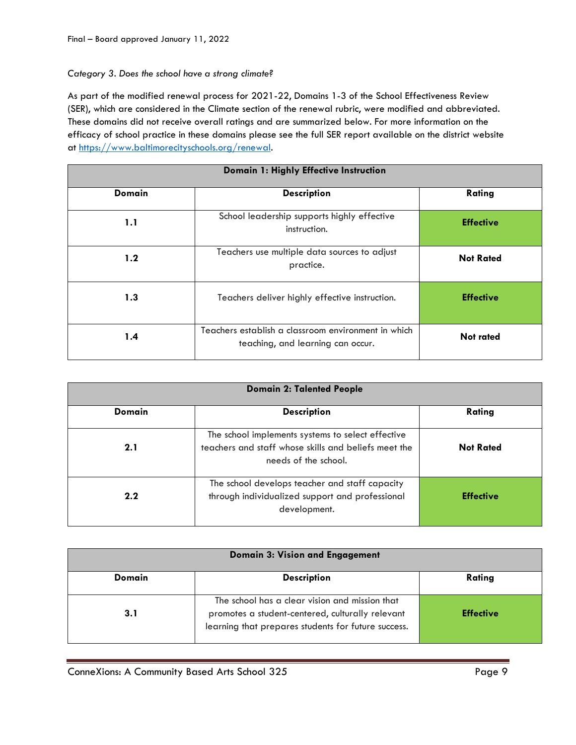# *Category 3. Does the school have a strong climate?*

As part of the modified renewal process for 2021-22, Domains 1-3 of the School Effectiveness Review (SER), which are considered in the Climate section of the renewal rubric, were modified and abbreviated. These domains did not receive overall ratings and are summarized below. For more information on the efficacy of school practice in these domains please see the full SER report available on the district website at [https://www.baltimorecityschools.org/renewal.](https://www.baltimorecityschools.org/renewal)

| Domain 1: Highly Effective Instruction |                                                                                          |                  |  |
|----------------------------------------|------------------------------------------------------------------------------------------|------------------|--|
| <b>Domain</b>                          | <b>Description</b>                                                                       | Rating           |  |
| 1.1                                    | School leadership supports highly effective<br>instruction.                              | <b>Effective</b> |  |
| 1.2                                    | Teachers use multiple data sources to adjust<br>practice.                                | <b>Not Rated</b> |  |
| 1.3                                    | Teachers deliver highly effective instruction.                                           | <b>Effective</b> |  |
| 1.4                                    | Teachers establish a classroom environment in which<br>teaching, and learning can occur. | Not rated        |  |

| <b>Domain 2: Talented People</b> |                                                                                                                                   |                  |  |
|----------------------------------|-----------------------------------------------------------------------------------------------------------------------------------|------------------|--|
| <b>Domain</b>                    | <b>Description</b>                                                                                                                | Rating           |  |
| 2.1                              | The school implements systems to select effective<br>teachers and staff whose skills and beliefs meet the<br>needs of the school. | <b>Not Rated</b> |  |
| 2.2                              | The school develops teacher and staff capacity<br>through individualized support and professional<br>development.                 | <b>Effective</b> |  |

| <b>Domain 3: Vision and Engagement</b> |                                                                                                                                                           |                  |  |
|----------------------------------------|-----------------------------------------------------------------------------------------------------------------------------------------------------------|------------------|--|
| Domain                                 | <b>Description</b>                                                                                                                                        | Rating           |  |
| 3.1                                    | The school has a clear vision and mission that<br>promotes a student-centered, culturally relevant<br>learning that prepares students for future success. | <b>Effective</b> |  |